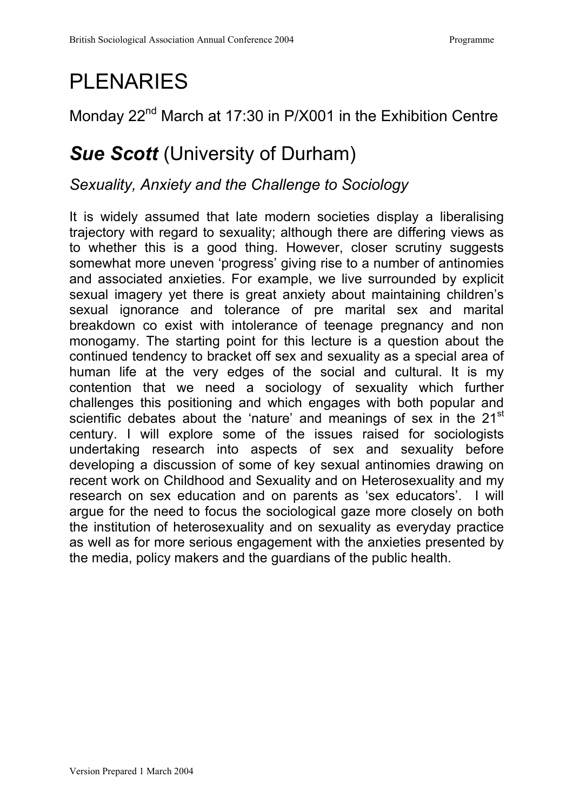# PLENARIES

### Monday 22<sup>nd</sup> March at 17:30 in P/X001 in the Exhibition Centre

## *Sue Scott* (University of Durham)

#### *Sexuality, Anxiety and the Challenge to Sociology*

It is widely assumed that late modern societies display a liberalising trajectory with regard to sexuality; although there are differing views as to whether this is a good thing. However, closer scrutiny suggests somewhat more uneven 'progress' giving rise to a number of antinomies and associated anxieties. For example, we live surrounded by explicit sexual imagery yet there is great anxiety about maintaining children's sexual ignorance and tolerance of pre marital sex and marital breakdown co exist with intolerance of teenage pregnancy and non monogamy. The starting point for this lecture is a question about the continued tendency to bracket off sex and sexuality as a special area of human life at the very edges of the social and cultural. It is my contention that we need a sociology of sexuality which further challenges this positioning and which engages with both popular and scientific debates about the 'nature' and meanings of sex in the 21<sup>st</sup> century. I will explore some of the issues raised for sociologists undertaking research into aspects of sex and sexuality before developing a discussion of some of key sexual antinomies drawing on recent work on Childhood and Sexuality and on Heterosexuality and my research on sex education and on parents as 'sex educators'. I will argue for the need to focus the sociological gaze more closely on both the institution of heterosexuality and on sexuality as everyday practice as well as for more serious engagement with the anxieties presented by the media, policy makers and the guardians of the public health.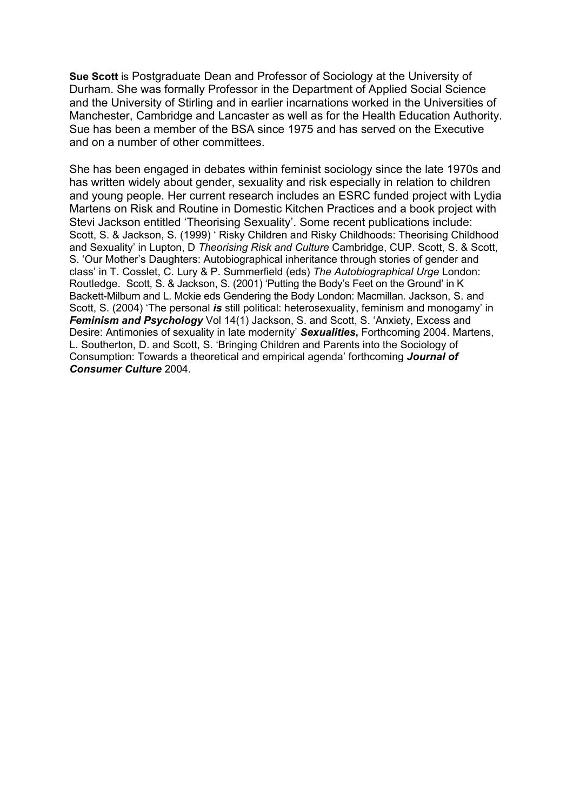**Sue Scott** is Postgraduate Dean and Professor of Sociology at the University of Durham. She was formally Professor in the Department of Applied Social Science and the University of Stirling and in earlier incarnations worked in the Universities of Manchester, Cambridge and Lancaster as well as for the Health Education Authority. Sue has been a member of the BSA since 1975 and has served on the Executive and on a number of other committees.

She has been engaged in debates within feminist sociology since the late 1970s and has written widely about gender, sexuality and risk especially in relation to children and young people. Her current research includes an ESRC funded project with Lydia Martens on Risk and Routine in Domestic Kitchen Practices and a book project with Stevi Jackson entitled 'Theorising Sexuality'. Some recent publications include: Scott, S. & Jackson, S. (1999) ' Risky Children and Risky Childhoods: Theorising Childhood and Sexuality' in Lupton, D *Theorising Risk and Culture* Cambridge, CUP. Scott, S. & Scott, S. 'Our Mother's Daughters: Autobiographical inheritance through stories of gender and class' in T. Cosslet, C. Lury & P. Summerfield (eds) *The Autobiographical Urge* London: Routledge. Scott, S. & Jackson, S. (2001) 'Putting the Body's Feet on the Ground' in K Backett-Milburn and L. Mckie eds Gendering the Body London: Macmillan. Jackson, S. and Scott, S. (2004) 'The personal *is* still political: heterosexuality, feminism and monogamy' in **Feminism and Psychology** Vol 14(1) Jackson, S. and Scott, S. 'Anxiety, Excess and Desire: Antimonies of sexuality in late modernity' *Sexualities***,** Forthcoming 2004. Martens, L. Southerton, D. and Scott, S. 'Bringing Children and Parents into the Sociology of Consumption: Towards a theoretical and empirical agenda' forthcoming *Journal of Consumer Culture* 2004.